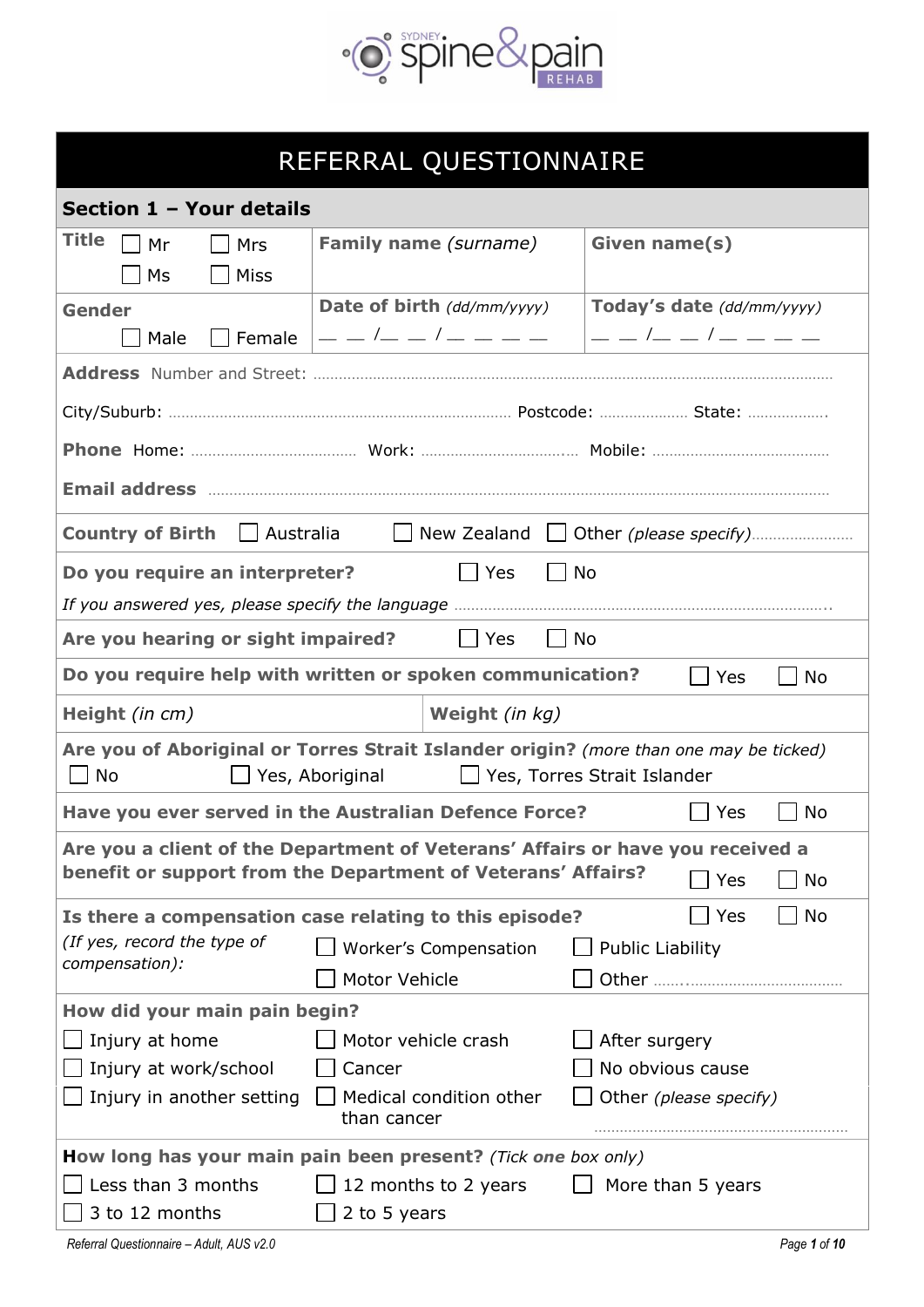

# REFERRAL QUESTIONNAIRE

| Section 1 - Your details                                            |                                                                                                                                                       |                                                                                                                                                                                                                                                                                                                      |  |  |  |  |  |  |  |
|---------------------------------------------------------------------|-------------------------------------------------------------------------------------------------------------------------------------------------------|----------------------------------------------------------------------------------------------------------------------------------------------------------------------------------------------------------------------------------------------------------------------------------------------------------------------|--|--|--|--|--|--|--|
| Title<br>$\Box$ Mr<br>Mrs                                           | Family name (surname)                                                                                                                                 | Given name(s)                                                                                                                                                                                                                                                                                                        |  |  |  |  |  |  |  |
| M <sub>S</sub><br><b>Miss</b>                                       |                                                                                                                                                       |                                                                                                                                                                                                                                                                                                                      |  |  |  |  |  |  |  |
| <b>Gender</b>                                                       | Date of birth (dd/mm/yyyy)                                                                                                                            | Today's date (dd/mm/yyyy)                                                                                                                                                                                                                                                                                            |  |  |  |  |  |  |  |
| Male<br>Female                                                      | — — /— — / — — — — —                                                                                                                                  | $  $ $\frac{1}{2}$ $\frac{1}{2}$ $\frac{1}{2}$ $\frac{1}{2}$ $\frac{1}{2}$ $\frac{1}{2}$ $\frac{1}{2}$ $\frac{1}{2}$ $\frac{1}{2}$ $\frac{1}{2}$ $\frac{1}{2}$ $\frac{1}{2}$ $\frac{1}{2}$ $\frac{1}{2}$ $\frac{1}{2}$ $\frac{1}{2}$ $\frac{1}{2}$ $\frac{1}{2}$ $\frac{1}{2}$ $\frac{1}{2}$ $\frac{1}{2}$ $\frac{1$ |  |  |  |  |  |  |  |
|                                                                     |                                                                                                                                                       |                                                                                                                                                                                                                                                                                                                      |  |  |  |  |  |  |  |
|                                                                     |                                                                                                                                                       |                                                                                                                                                                                                                                                                                                                      |  |  |  |  |  |  |  |
|                                                                     |                                                                                                                                                       |                                                                                                                                                                                                                                                                                                                      |  |  |  |  |  |  |  |
|                                                                     |                                                                                                                                                       |                                                                                                                                                                                                                                                                                                                      |  |  |  |  |  |  |  |
| <b>Country of Birth</b>                                             |                                                                                                                                                       |                                                                                                                                                                                                                                                                                                                      |  |  |  |  |  |  |  |
| Do you require an interpreter?                                      | Yes<br>  No                                                                                                                                           |                                                                                                                                                                                                                                                                                                                      |  |  |  |  |  |  |  |
|                                                                     |                                                                                                                                                       |                                                                                                                                                                                                                                                                                                                      |  |  |  |  |  |  |  |
| Are you hearing or sight impaired?<br>    Yes<br>$\vert$ $\vert$ No |                                                                                                                                                       |                                                                                                                                                                                                                                                                                                                      |  |  |  |  |  |  |  |
|                                                                     | Do you require help with written or spoken communication?                                                                                             | <b>No</b><br>Yes<br>$\mathsf{L}$                                                                                                                                                                                                                                                                                     |  |  |  |  |  |  |  |
| Height (in cm)                                                      | Weight (in kg)                                                                                                                                        |                                                                                                                                                                                                                                                                                                                      |  |  |  |  |  |  |  |
| No<br>$\blacksquare$                                                | Are you of Aboriginal or Torres Strait Islander origin? (more than one may be ticked)<br>Ses, Aboriginal                                              | $\Box$ Yes, Torres Strait Islander                                                                                                                                                                                                                                                                                   |  |  |  |  |  |  |  |
|                                                                     | Have you ever served in the Australian Defence Force?                                                                                                 | <b>No</b><br>Yes                                                                                                                                                                                                                                                                                                     |  |  |  |  |  |  |  |
|                                                                     | Are you a client of the Department of Veterans' Affairs or have you received a<br>benefit or support from the Department of Veterans' Affairs? $\Box$ |                                                                                                                                                                                                                                                                                                                      |  |  |  |  |  |  |  |
|                                                                     |                                                                                                                                                       | <b>No</b><br>Yes                                                                                                                                                                                                                                                                                                     |  |  |  |  |  |  |  |
|                                                                     | Is there a compensation case relating to this episode?                                                                                                | <b>No</b><br>Yes                                                                                                                                                                                                                                                                                                     |  |  |  |  |  |  |  |
| (If yes, record the type of<br>compensation):                       | Worker's Compensation                                                                                                                                 | <b>Public Liability</b>                                                                                                                                                                                                                                                                                              |  |  |  |  |  |  |  |
|                                                                     | Motor Vehicle                                                                                                                                         |                                                                                                                                                                                                                                                                                                                      |  |  |  |  |  |  |  |
| How did your main pain begin?                                       |                                                                                                                                                       |                                                                                                                                                                                                                                                                                                                      |  |  |  |  |  |  |  |
| Injury at home                                                      | Motor vehicle crash                                                                                                                                   | After surgery                                                                                                                                                                                                                                                                                                        |  |  |  |  |  |  |  |
| No obvious cause<br>Injury at work/school<br>Cancer                 |                                                                                                                                                       |                                                                                                                                                                                                                                                                                                                      |  |  |  |  |  |  |  |
| Injury in another setting                                           | Medical condition other<br>than cancer                                                                                                                | Other (please specify)                                                                                                                                                                                                                                                                                               |  |  |  |  |  |  |  |
|                                                                     | How long has your main pain been present? (Tick one box only)                                                                                         |                                                                                                                                                                                                                                                                                                                      |  |  |  |  |  |  |  |
| Less than 3 months                                                  | 12 months to 2 years                                                                                                                                  | More than 5 years                                                                                                                                                                                                                                                                                                    |  |  |  |  |  |  |  |
| 3 to 12 months                                                      | 2 to 5 years                                                                                                                                          |                                                                                                                                                                                                                                                                                                                      |  |  |  |  |  |  |  |
| Referral Questionnaire - Adult, AUS v2.0                            |                                                                                                                                                       | Page 1 of 10                                                                                                                                                                                                                                                                                                         |  |  |  |  |  |  |  |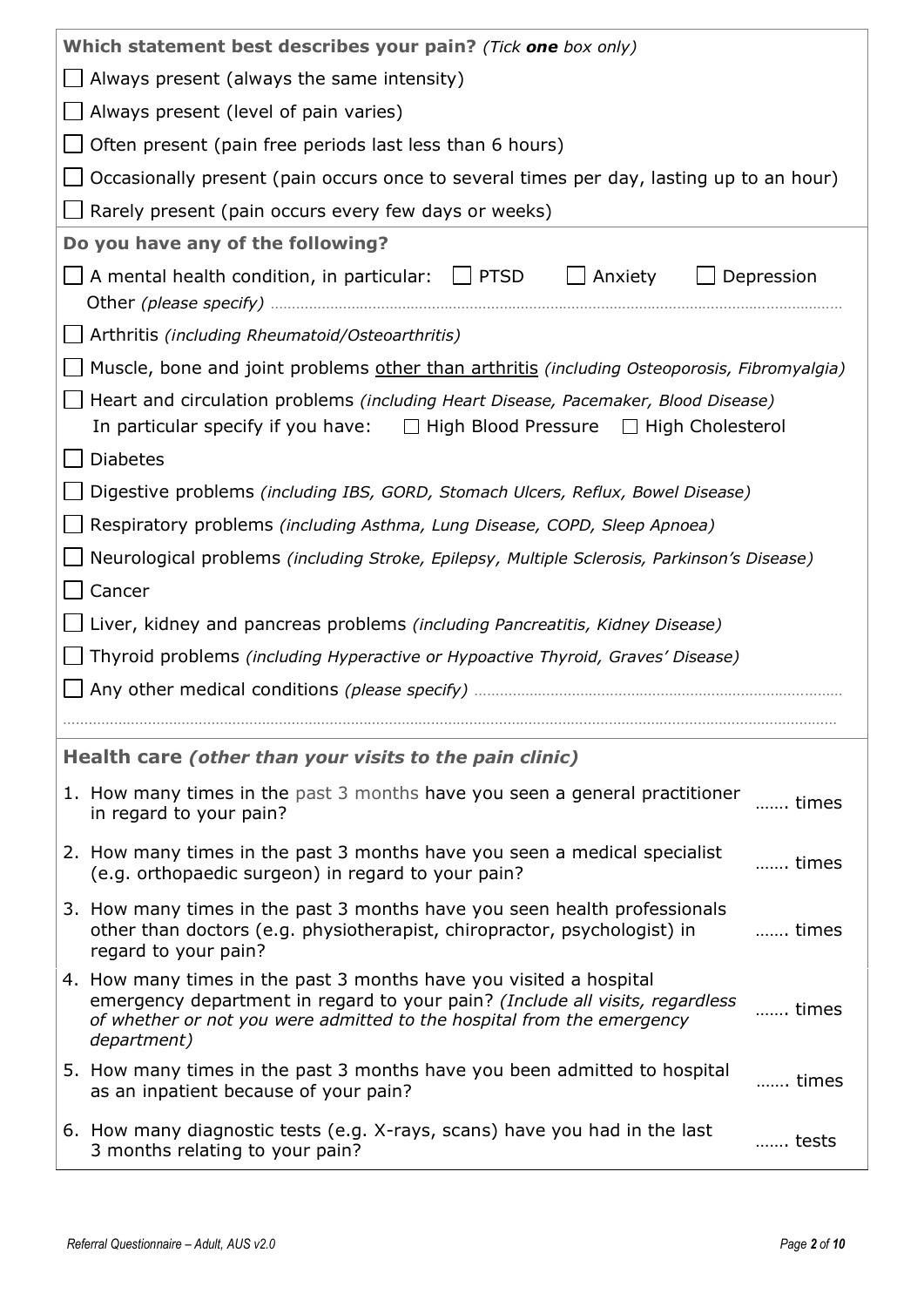| Which statement best describes your pain? (Tick one box only)                                                                                                                                                                                        |  |  |  |  |  |  |  |
|------------------------------------------------------------------------------------------------------------------------------------------------------------------------------------------------------------------------------------------------------|--|--|--|--|--|--|--|
| Always present (always the same intensity)                                                                                                                                                                                                           |  |  |  |  |  |  |  |
| Always present (level of pain varies)                                                                                                                                                                                                                |  |  |  |  |  |  |  |
| Often present (pain free periods last less than 6 hours)                                                                                                                                                                                             |  |  |  |  |  |  |  |
| Occasionally present (pain occurs once to several times per day, lasting up to an hour)                                                                                                                                                              |  |  |  |  |  |  |  |
| Rarely present (pain occurs every few days or weeks)                                                                                                                                                                                                 |  |  |  |  |  |  |  |
| Do you have any of the following?                                                                                                                                                                                                                    |  |  |  |  |  |  |  |
| $\Box$ Depression<br>A mental health condition, in particular: $\Box$ PTSD<br>Anxiety                                                                                                                                                                |  |  |  |  |  |  |  |
| Arthritis (including Rheumatoid/Osteoarthritis)                                                                                                                                                                                                      |  |  |  |  |  |  |  |
| Muscle, bone and joint problems other than arthritis (including Osteoporosis, Fibromyalgia)                                                                                                                                                          |  |  |  |  |  |  |  |
| Heart and circulation problems (including Heart Disease, Pacemaker, Blood Disease)<br>In particular specify if you have: $\Box$ High Blood Pressure $\Box$ High Cholesterol                                                                          |  |  |  |  |  |  |  |
| <b>Diabetes</b>                                                                                                                                                                                                                                      |  |  |  |  |  |  |  |
| Digestive problems (including IBS, GORD, Stomach Ulcers, Reflux, Bowel Disease)                                                                                                                                                                      |  |  |  |  |  |  |  |
| Respiratory problems (including Asthma, Lung Disease, COPD, Sleep Apnoea)                                                                                                                                                                            |  |  |  |  |  |  |  |
| Neurological problems (including Stroke, Epilepsy, Multiple Sclerosis, Parkinson's Disease)                                                                                                                                                          |  |  |  |  |  |  |  |
| Cancer                                                                                                                                                                                                                                               |  |  |  |  |  |  |  |
| Liver, kidney and pancreas problems (including Pancreatitis, Kidney Disease)                                                                                                                                                                         |  |  |  |  |  |  |  |
| Thyroid problems (including Hyperactive or Hypoactive Thyroid, Graves' Disease)                                                                                                                                                                      |  |  |  |  |  |  |  |
|                                                                                                                                                                                                                                                      |  |  |  |  |  |  |  |
|                                                                                                                                                                                                                                                      |  |  |  |  |  |  |  |
| Health care (other than your visits to the pain clinic)                                                                                                                                                                                              |  |  |  |  |  |  |  |
| 1. How many times in the past 3 months have you seen a general practitioner<br>times<br>in regard to your pain?                                                                                                                                      |  |  |  |  |  |  |  |
| 2. How many times in the past 3 months have you seen a medical specialist<br>times<br>(e.g. orthopaedic surgeon) in regard to your pain?                                                                                                             |  |  |  |  |  |  |  |
|                                                                                                                                                                                                                                                      |  |  |  |  |  |  |  |
| 3. How many times in the past 3 months have you seen health professionals<br>other than doctors (e.g. physiotherapist, chiropractor, psychologist) in<br>times<br>regard to your pain?                                                               |  |  |  |  |  |  |  |
| 4. How many times in the past 3 months have you visited a hospital<br>emergency department in regard to your pain? (Include all visits, regardless<br>times<br>of whether or not you were admitted to the hospital from the emergency<br>department) |  |  |  |  |  |  |  |
| 5. How many times in the past 3 months have you been admitted to hospital<br>times<br>as an inpatient because of your pain?                                                                                                                          |  |  |  |  |  |  |  |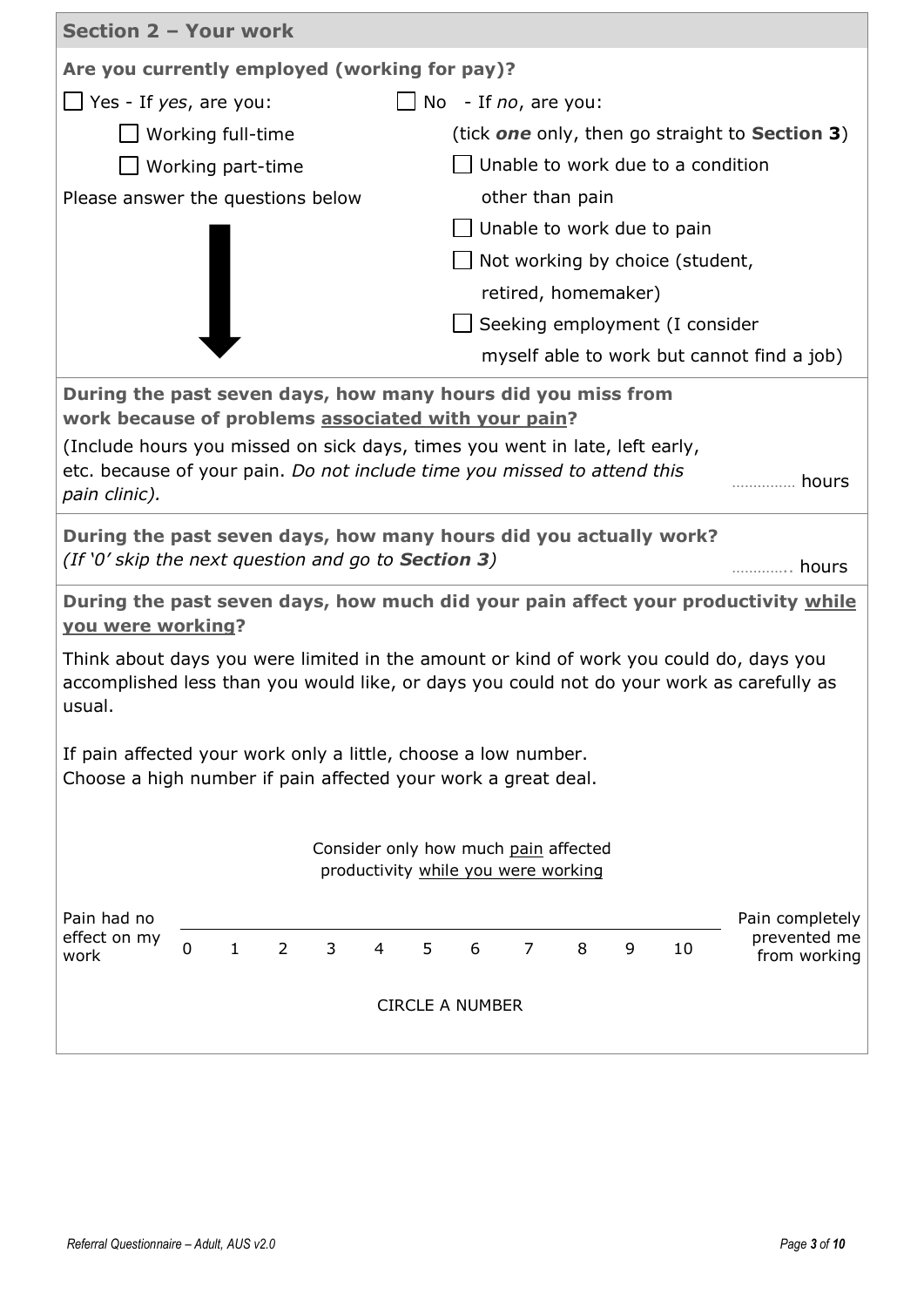| Section 2 - Your work                                                                                                            |                                                                                                                                                                                                    |                |   |                |   |                                                                             |                |                     |   |                                 |                                                                                                                                                                                     |
|----------------------------------------------------------------------------------------------------------------------------------|----------------------------------------------------------------------------------------------------------------------------------------------------------------------------------------------------|----------------|---|----------------|---|-----------------------------------------------------------------------------|----------------|---------------------|---|---------------------------------|-------------------------------------------------------------------------------------------------------------------------------------------------------------------------------------|
| Are you currently employed (working for pay)?                                                                                    |                                                                                                                                                                                                    |                |   |                |   |                                                                             |                |                     |   |                                 |                                                                                                                                                                                     |
|                                                                                                                                  | $\Box$ Yes - If yes, are you:<br>No<br>- If no, are you:                                                                                                                                           |                |   |                |   |                                                                             |                |                     |   |                                 |                                                                                                                                                                                     |
|                                                                                                                                  | Working full-time                                                                                                                                                                                  |                |   |                |   |                                                                             |                |                     |   |                                 | (tick <b>one</b> only, then go straight to <b>Section 3</b> )                                                                                                                       |
|                                                                                                                                  | Unable to work due to a condition<br>Working part-time                                                                                                                                             |                |   |                |   |                                                                             |                |                     |   |                                 |                                                                                                                                                                                     |
|                                                                                                                                  | other than pain<br>Please answer the questions below                                                                                                                                               |                |   |                |   |                                                                             |                |                     |   |                                 |                                                                                                                                                                                     |
| $\Box$ Unable to work due to pain                                                                                                |                                                                                                                                                                                                    |                |   |                |   |                                                                             |                |                     |   |                                 |                                                                                                                                                                                     |
|                                                                                                                                  |                                                                                                                                                                                                    |                |   |                |   |                                                                             |                |                     |   | Not working by choice (student, |                                                                                                                                                                                     |
|                                                                                                                                  |                                                                                                                                                                                                    |                |   |                |   |                                                                             |                | retired, homemaker) |   |                                 |                                                                                                                                                                                     |
|                                                                                                                                  |                                                                                                                                                                                                    |                |   |                |   |                                                                             |                |                     |   | Seeking employment (I consider  |                                                                                                                                                                                     |
|                                                                                                                                  |                                                                                                                                                                                                    |                |   |                |   |                                                                             |                |                     |   |                                 | myself able to work but cannot find a job)                                                                                                                                          |
|                                                                                                                                  | During the past seven days, how many hours did you miss from<br>work because of problems associated with your pain?<br>(Include hours you missed on sick days, times you went in late, left early, |                |   |                |   |                                                                             |                |                     |   |                                 |                                                                                                                                                                                     |
| etc. because of your pain. Do not include time you missed to attend this<br>pain clinic).                                        |                                                                                                                                                                                                    |                |   |                |   |                                                                             |                |                     |   |                                 | hours                                                                                                                                                                               |
| During the past seven days, how many hours did you actually work?<br>(If '0' skip the next question and go to <b>Section 3</b> ) |                                                                                                                                                                                                    |                |   |                |   |                                                                             |                |                     |   |                                 | hours                                                                                                                                                                               |
| <b>you were working?</b>                                                                                                         |                                                                                                                                                                                                    |                |   |                |   |                                                                             |                |                     |   |                                 | During the past seven days, how much did your pain affect your productivity while                                                                                                   |
| usual.                                                                                                                           |                                                                                                                                                                                                    |                |   |                |   |                                                                             |                |                     |   |                                 | Think about days you were limited in the amount or kind of work you could do, days you<br>accomplished less than you would like, or days you could not do your work as carefully as |
|                                                                                                                                  | If pain affected your work only a little, choose a low number.<br>Choose a high number if pain affected your work a great deal.                                                                    |                |   |                |   |                                                                             |                |                     |   |                                 |                                                                                                                                                                                     |
|                                                                                                                                  |                                                                                                                                                                                                    |                |   |                |   | Consider only how much pain affected<br>productivity while you were working |                |                     |   |                                 |                                                                                                                                                                                     |
| Pain had no                                                                                                                      |                                                                                                                                                                                                    |                |   |                |   |                                                                             |                |                     |   |                                 | Pain completely                                                                                                                                                                     |
| effect on my<br>work                                                                                                             | $\mathbf 0$<br>$\mathbf{1}$                                                                                                                                                                        | $\overline{2}$ | 3 | $\overline{4}$ | 5 | 6                                                                           | $\overline{7}$ | 8                   | 9 | 10                              | prevented me<br>from working                                                                                                                                                        |
|                                                                                                                                  |                                                                                                                                                                                                    |                |   |                |   | <b>CIRCLE A NUMBER</b>                                                      |                |                     |   |                                 |                                                                                                                                                                                     |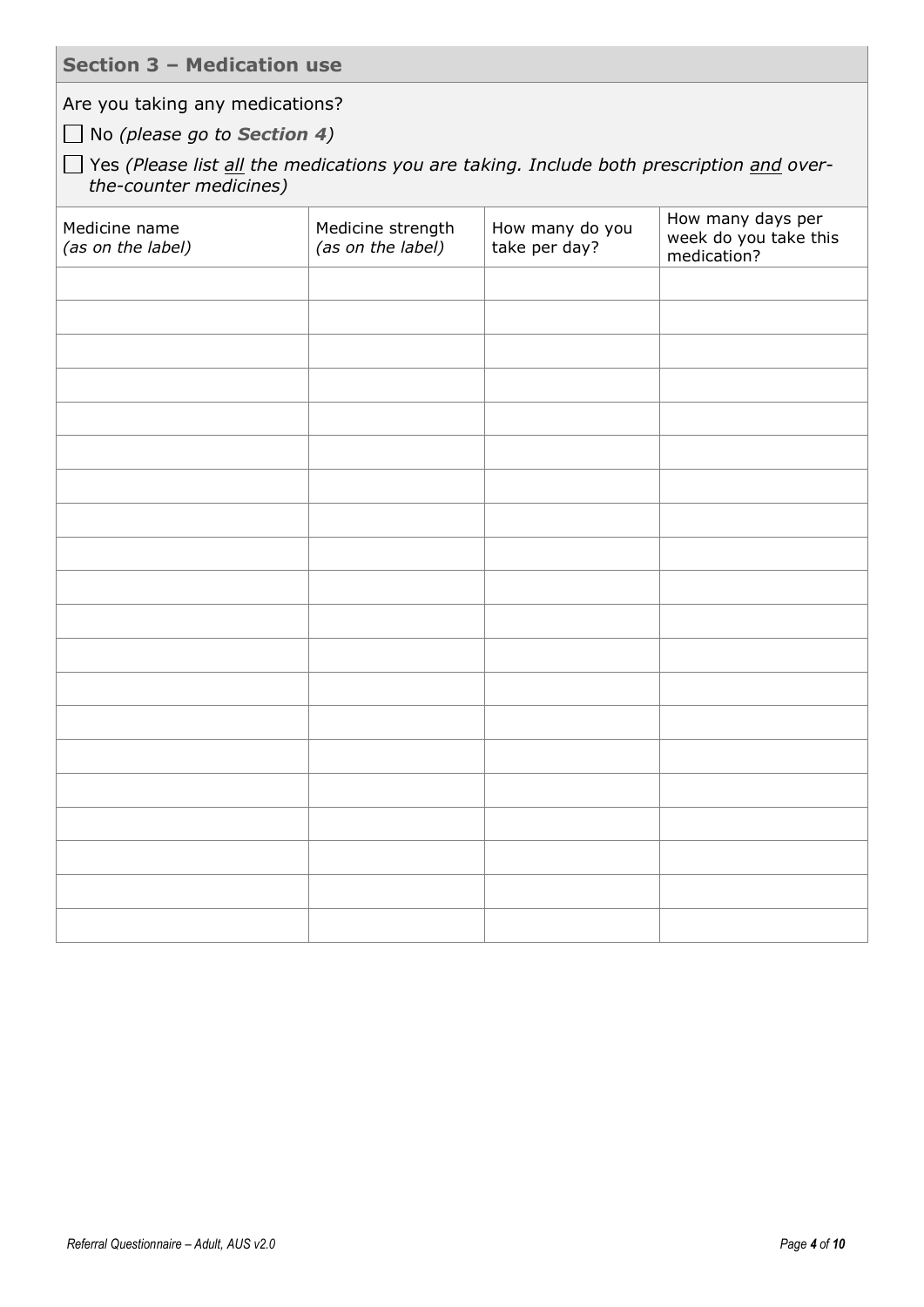**Section 3 – Medication use**

Are you taking any medications?

No *(please go to Section 4)*

Yes *(Please list all the medications you are taking. Include both prescription and overthe-counter medicines)*

| Medicine name<br>(as on the label) | Medicine strength<br>(as on the label) | How many do you<br>take per day? | How many days per<br>week do you take this<br>medication? |
|------------------------------------|----------------------------------------|----------------------------------|-----------------------------------------------------------|
|                                    |                                        |                                  |                                                           |
|                                    |                                        |                                  |                                                           |
|                                    |                                        |                                  |                                                           |
|                                    |                                        |                                  |                                                           |
|                                    |                                        |                                  |                                                           |
|                                    |                                        |                                  |                                                           |
|                                    |                                        |                                  |                                                           |
|                                    |                                        |                                  |                                                           |
|                                    |                                        |                                  |                                                           |
|                                    |                                        |                                  |                                                           |
|                                    |                                        |                                  |                                                           |
|                                    |                                        |                                  |                                                           |
|                                    |                                        |                                  |                                                           |
|                                    |                                        |                                  |                                                           |
|                                    |                                        |                                  |                                                           |
|                                    |                                        |                                  |                                                           |
|                                    |                                        |                                  |                                                           |
|                                    |                                        |                                  |                                                           |
|                                    |                                        |                                  |                                                           |
|                                    |                                        |                                  |                                                           |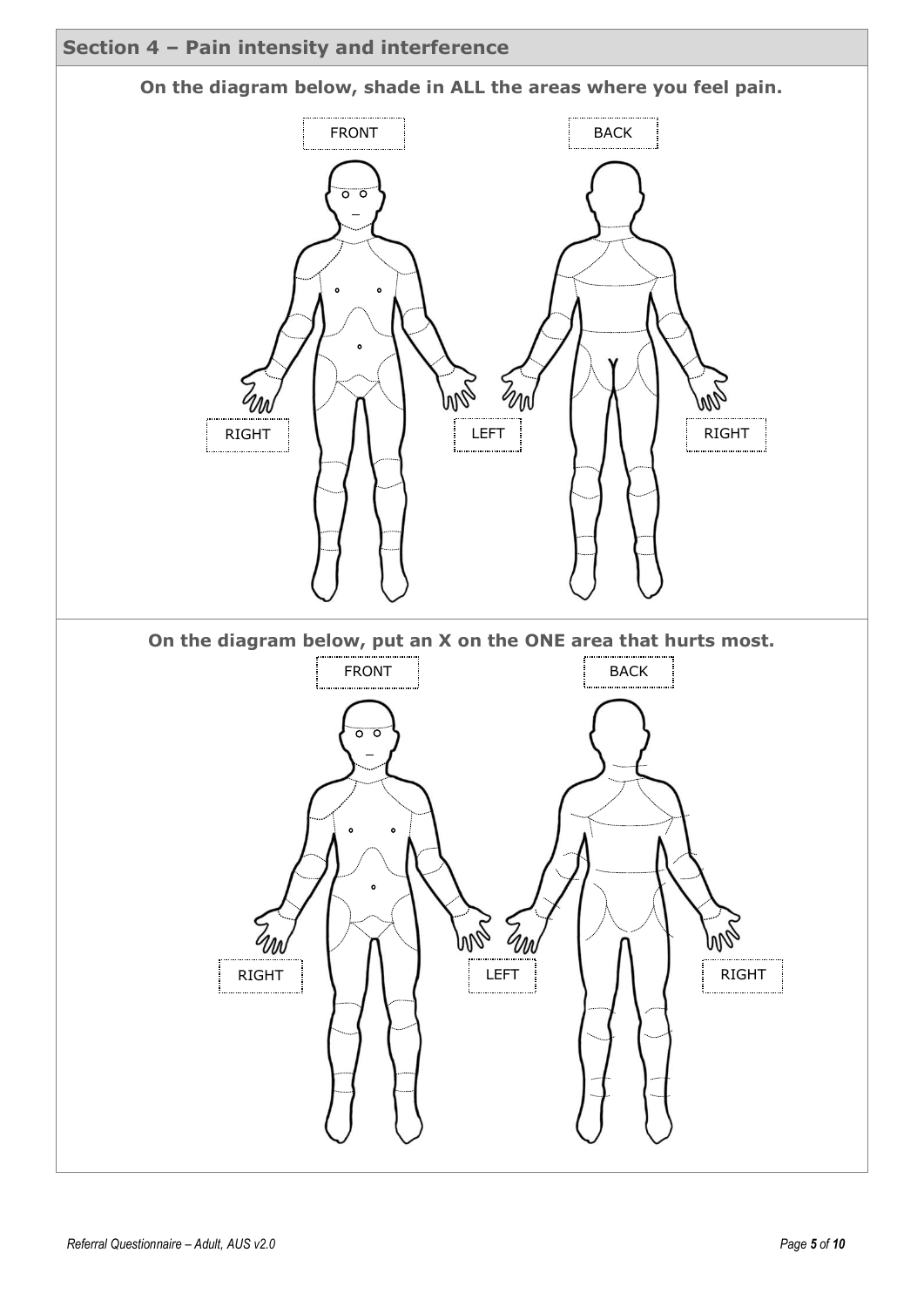

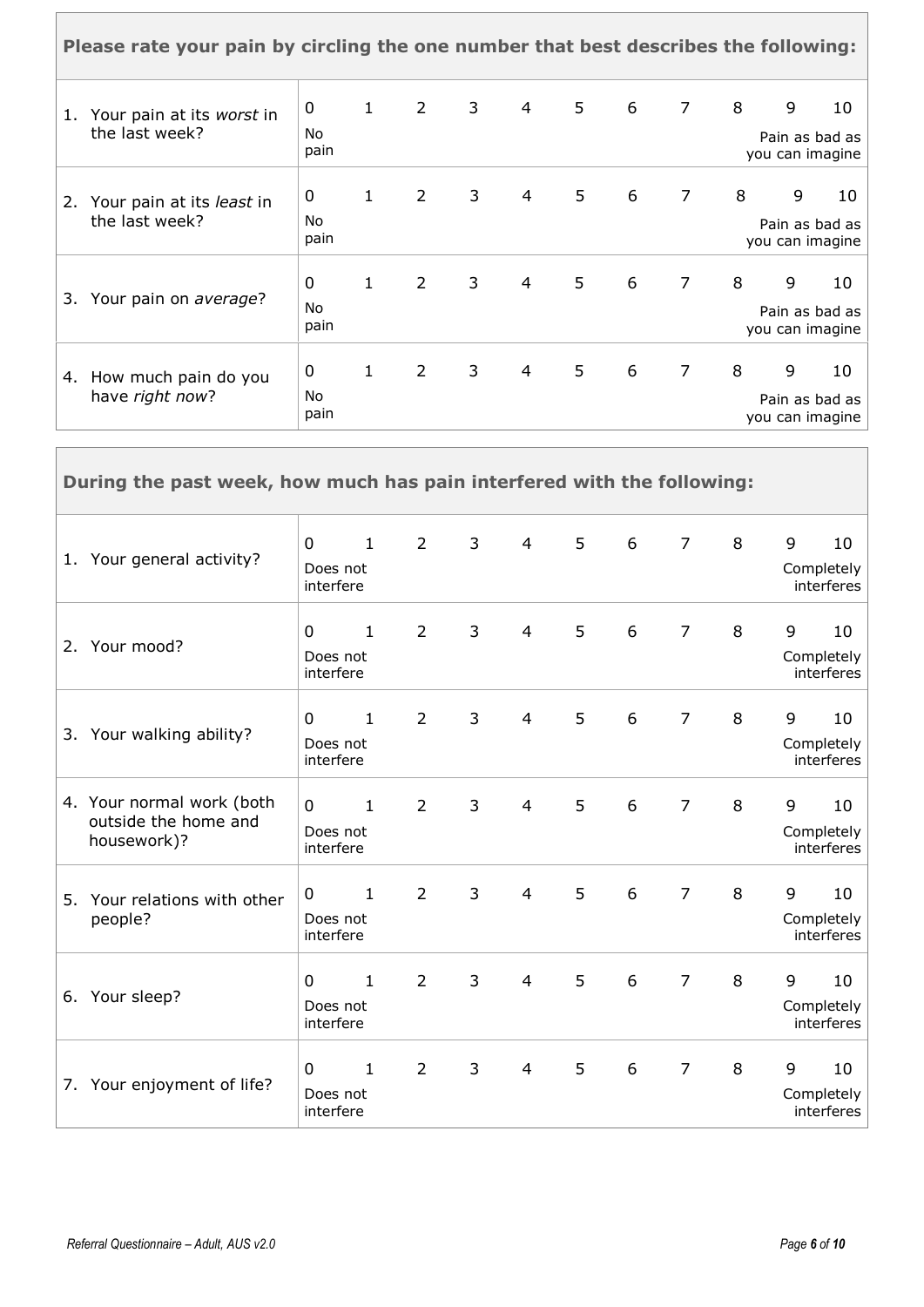|    | Please rate your pain by circling the one number that best describes the following: |                        |              |             |                |                |   |   |                |   |                                        |    |
|----|-------------------------------------------------------------------------------------|------------------------|--------------|-------------|----------------|----------------|---|---|----------------|---|----------------------------------------|----|
| 1. | Your pain at its worst in<br>the last week?                                         | 0<br>No<br>pain        | $\mathbf{1}$ | $2^{\circ}$ | $\overline{3}$ | $\overline{4}$ | 5 | 6 | $\overline{7}$ | 8 | 9<br>Pain as bad as<br>you can imagine | 10 |
| 2. | Your pain at its least in<br>the last week?                                         | 0<br>No<br>pain        | $\mathbf{1}$ | $2^{\circ}$ | 3              | $\overline{4}$ | 5 | 6 | $\overline{7}$ | 8 | 9<br>Pain as bad as<br>you can imagine | 10 |
| 3. | Your pain on average?                                                               | 0<br><b>No</b><br>pain | $\mathbf{1}$ | $2^{\circ}$ | 3              | 4              | 5 | 6 | $\overline{7}$ | 8 | 9<br>Pain as bad as<br>you can imagine | 10 |
|    | 4. How much pain do you<br>have right now?                                          | 0<br>No<br>pain        | $\mathbf{1}$ | $2^{\circ}$ | 3              | $\overline{4}$ | 5 | 6 | $\overline{7}$ | 8 | 9<br>Pain as bad as<br>you can imagine | 10 |

| During the past week, how much has pain interfered with the following: |                                       |              |                |              |                |   |   |                |   |   |                                |
|------------------------------------------------------------------------|---------------------------------------|--------------|----------------|--------------|----------------|---|---|----------------|---|---|--------------------------------|
| 1. Your general activity?                                              | $\mathbf 0$<br>Does not<br>interfere  | $\mathbf{1}$ | $\overline{2}$ | $\mathbf{3}$ | $\overline{4}$ | 5 | 6 | $\overline{7}$ | 8 | 9 | 10<br>Completely<br>interferes |
| 2. Your mood?                                                          | $\mathbf{0}$<br>Does not<br>interfere | $\mathbf{1}$ | $\overline{2}$ | 3            | $\overline{4}$ | 5 | 6 | $\overline{7}$ | 8 | 9 | 10<br>Completely<br>interferes |
| 3. Your walking ability?                                               | $\mathbf{0}$<br>Does not<br>interfere | $\mathbf{1}$ | $\overline{2}$ | 3            | $\overline{4}$ | 5 | 6 | $\overline{7}$ | 8 | 9 | 10<br>Completely<br>interferes |
| 4. Your normal work (both<br>outside the home and<br>housework)?       | $\Omega$<br>Does not<br>interfere     | $\mathbf{1}$ | $\overline{2}$ | $\mathbf{3}$ | $\overline{4}$ | 5 | 6 | $\overline{7}$ | 8 | 9 | 10<br>Completely<br>interferes |
| 5. Your relations with other<br>people?                                | $\Omega$<br>Does not<br>interfere     | $\mathbf{1}$ | $\overline{2}$ | 3            | $\overline{4}$ | 5 | 6 | $\overline{7}$ | 8 | 9 | 10<br>Completely<br>interferes |
| 6. Your sleep?                                                         | $\Omega$<br>Does not<br>interfere     | $\mathbf{1}$ | $\overline{2}$ | 3            | $\overline{4}$ | 5 | 6 | $\overline{7}$ | 8 | 9 | 10<br>Completely<br>interferes |
| 7. Your enjoyment of life?                                             | $\mathbf{0}$<br>Does not<br>interfere | $\mathbf{1}$ | $\overline{2}$ | 3            | $\overline{4}$ | 5 | 6 | $\overline{7}$ | 8 | 9 | 10<br>Completely<br>interferes |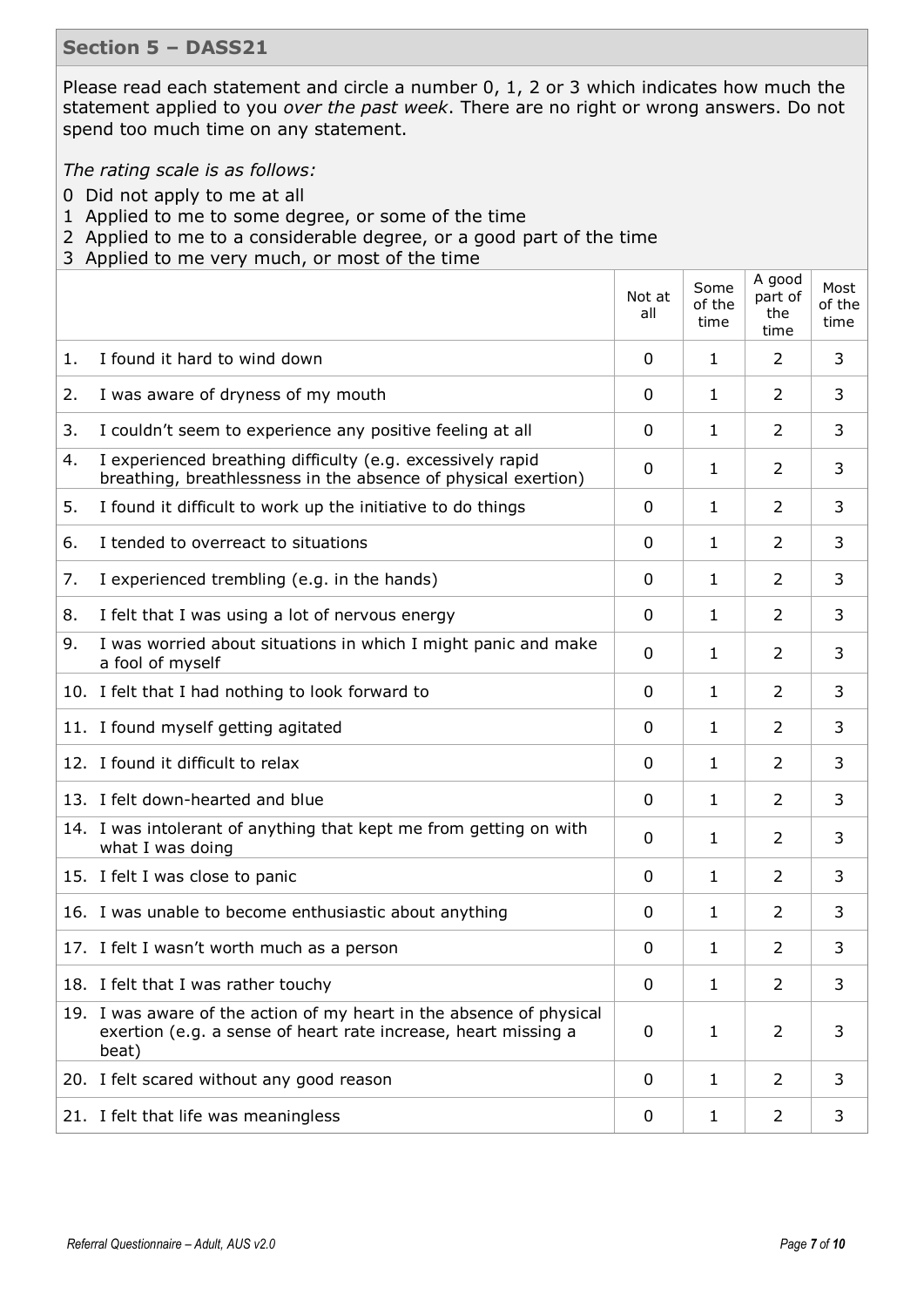#### **Section 5 – DASS21**

Please read each statement and circle a number 0, 1, 2 or 3 which indicates how much the statement applied to you *over the past week*. There are no right or wrong answers. Do not spend too much time on any statement.

*The rating scale is as follows:*

- 0 Did not apply to me at all
- 1 Applied to me to some degree, or some of the time
- 2 Applied to me to a considerable degree, or a good part of the time
- 3 Applied to me very much, or most of the time

|    |                                                                                                                                                 | Not at<br>all | Some<br>of the<br>time | A good<br>part of<br>the<br>time | Most<br>of the<br>time |
|----|-------------------------------------------------------------------------------------------------------------------------------------------------|---------------|------------------------|----------------------------------|------------------------|
| 1. | I found it hard to wind down                                                                                                                    | 0             | 1                      | 2                                | 3                      |
| 2. | I was aware of dryness of my mouth                                                                                                              | 0             | 1                      | 2                                | 3                      |
| 3. | I couldn't seem to experience any positive feeling at all                                                                                       | 0             | 1                      | 2                                | 3                      |
| 4. | I experienced breathing difficulty (e.g. excessively rapid<br>breathing, breathlessness in the absence of physical exertion)                    | 0             | 1                      | 2                                | 3                      |
| 5. | I found it difficult to work up the initiative to do things                                                                                     | 0             | 1                      | 2                                | 3                      |
| 6. | I tended to overreact to situations                                                                                                             | 0             | 1                      | 2                                | 3                      |
| 7. | I experienced trembling (e.g. in the hands)                                                                                                     | 0             | 1                      | 2                                | 3                      |
| 8. | I felt that I was using a lot of nervous energy                                                                                                 | 0             | 1                      | 2                                | 3                      |
| 9. | I was worried about situations in which I might panic and make<br>a fool of myself                                                              | 0             | 1                      | 2                                | 3                      |
|    | 10. I felt that I had nothing to look forward to                                                                                                | 0             | 1                      | 2                                | 3                      |
|    | 11. I found myself getting agitated                                                                                                             | 0             | 1                      | 2                                | 3                      |
|    | 12. I found it difficult to relax                                                                                                               | 0             | 1                      | 2                                | 3                      |
|    | 13. I felt down-hearted and blue                                                                                                                | 0             | 1                      | 2                                | 3                      |
|    | 14. I was intolerant of anything that kept me from getting on with<br>what I was doing                                                          | 0             | 1                      | 2                                | 3                      |
|    | 15. I felt I was close to panic                                                                                                                 | 0             | 1                      | 2                                | 3                      |
|    | 16. I was unable to become enthusiastic about anything                                                                                          | 0             | 1                      | 2                                | 3                      |
|    | 17. I felt I wasn't worth much as a person                                                                                                      | 0             | 1                      | 2                                | 3                      |
|    | 18. I felt that I was rather touchy                                                                                                             | 0             | 1                      | 2                                | 3                      |
|    | 19. I was aware of the action of my heart in the absence of physical<br>exertion (e.g. a sense of heart rate increase, heart missing a<br>beat) | 0             | 1                      | 2                                | 3                      |
|    | 20. I felt scared without any good reason                                                                                                       | 0             | 1                      | 2                                | 3                      |
|    | 21. I felt that life was meaningless                                                                                                            | 0             | 1                      | 2                                | 3                      |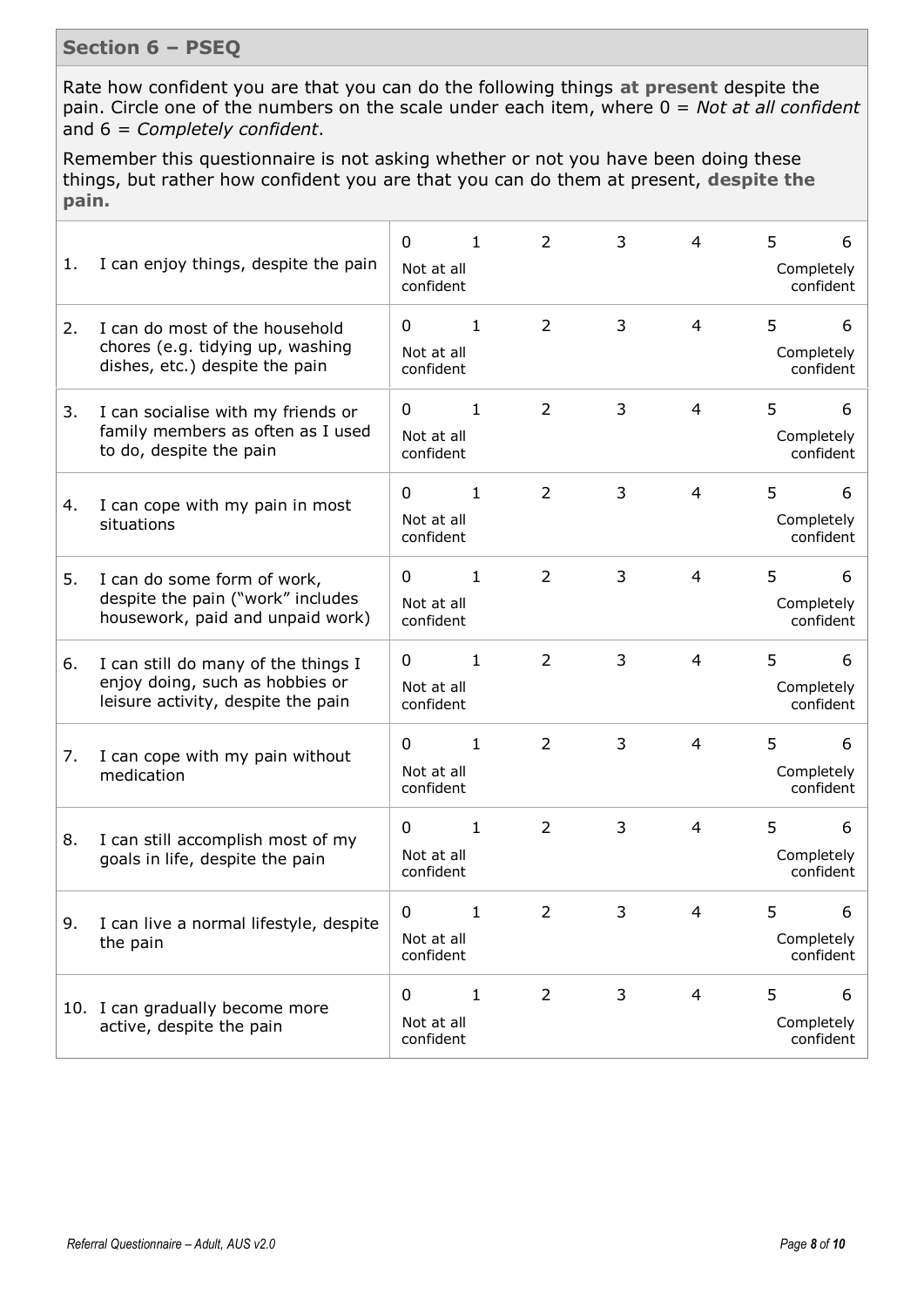## **Section 6 – PSEQ**

Rate how confident you are that you can do the following things **at present** despite the pain. Circle one of the numbers on the scale under each item, where 0 = *Not at all confident* and 6 = *Completely confident*.

Remember this questionnaire is not asking whether or not you have been doing these things, but rather how confident you are that you can do them at present, **despite the pain.**

| 1. | I can enjoy things, despite the pain                                                                         | 0<br>Not at all<br>confident | $\mathbf{1}$ | 2              | 3 | 4              | 5 | 6<br>Completely<br>confident |
|----|--------------------------------------------------------------------------------------------------------------|------------------------------|--------------|----------------|---|----------------|---|------------------------------|
| 2. | I can do most of the household<br>chores (e.g. tidying up, washing<br>dishes, etc.) despite the pain         | 0<br>Not at all<br>confident | $\mathbf{1}$ | 2              | 3 | $\overline{4}$ | 5 | 6<br>Completely<br>confident |
| 3. | I can socialise with my friends or<br>family members as often as I used<br>to do, despite the pain           | 0<br>Not at all<br>confident | $\mathbf{1}$ | $\overline{2}$ | 3 | 4              | 5 | 6<br>Completely<br>confident |
| 4. | I can cope with my pain in most<br>situations                                                                | 0<br>Not at all<br>confident | $\mathbf{1}$ | $\overline{2}$ | 3 | $\overline{4}$ | 5 | 6<br>Completely<br>confident |
| 5. | I can do some form of work,<br>despite the pain ("work" includes<br>housework, paid and unpaid work)         | 0<br>Not at all<br>confident | $\mathbf{1}$ | 2              | 3 | 4              | 5 | 6<br>Completely<br>confident |
| 6. | I can still do many of the things I<br>enjoy doing, such as hobbies or<br>leisure activity, despite the pain | 0<br>Not at all<br>confident | $\mathbf{1}$ | 2              | 3 | $\overline{4}$ | 5 | 6<br>Completely<br>confident |
| 7. | I can cope with my pain without<br>medication                                                                | 0<br>Not at all<br>confident | $\mathbf{1}$ | 2              | 3 | 4              | 5 | 6<br>Completely<br>confident |
| 8. | I can still accomplish most of my<br>goals in life, despite the pain                                         | 0<br>Not at all<br>confident | $\mathbf{1}$ | $\overline{2}$ | 3 | $\overline{4}$ | 5 | 6<br>Completely<br>confident |
| 9. | I can live a normal lifestyle, despite<br>the pain                                                           | 0<br>Not at all<br>confident | $\mathbf{1}$ | 2              | 3 | 4              | 5 | 6<br>Completely<br>confident |
|    | 10. I can gradually become more<br>active, despite the pain                                                  | 0<br>Not at all<br>confident | $\mathbf{1}$ | $\overline{2}$ | 3 | 4              | 5 | 6<br>Completely<br>confident |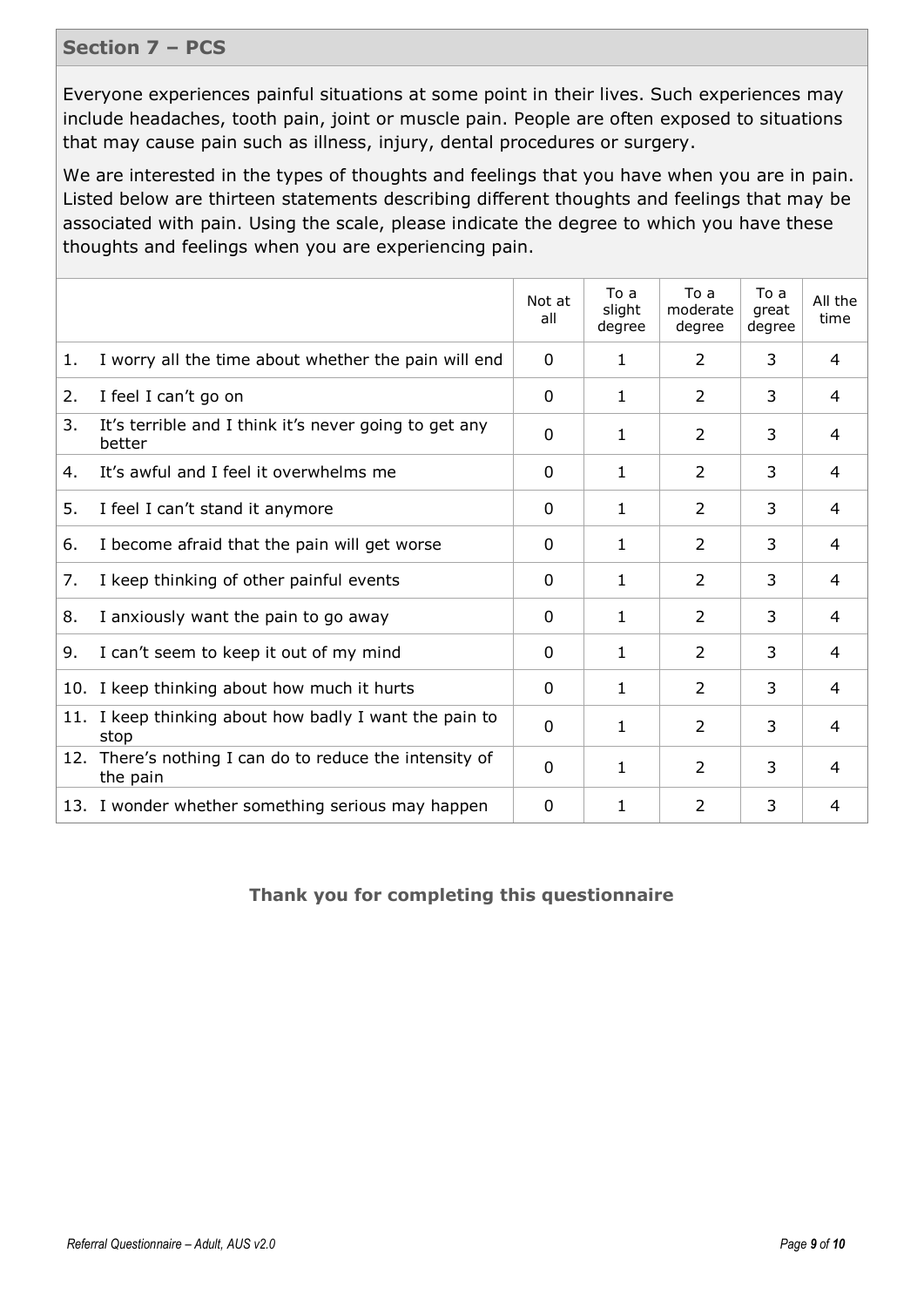#### **Section 7 – PCS**

Everyone experiences painful situations at some point in their lives. Such experiences may include headaches, tooth pain, joint or muscle pain. People are often exposed to situations that may cause pain such as illness, injury, dental procedures or surgery.

We are interested in the types of thoughts and feelings that you have when you are in pain. Listed below are thirteen statements describing different thoughts and feelings that may be associated with pain. Using the scale, please indicate the degree to which you have these thoughts and feelings when you are experiencing pain.

|     |                                                                 | Not at<br>all | To a<br>slight<br>degree | To a<br>moderate<br>degree | To a<br>great<br>degree | All the<br>time |
|-----|-----------------------------------------------------------------|---------------|--------------------------|----------------------------|-------------------------|-----------------|
| 1.  | I worry all the time about whether the pain will end            | 0             | 1.                       | $\mathcal{L}$              | 3                       | 4               |
| 2.  | I feel I can't go on                                            | 0             | 1                        | 2                          | 3                       | 4               |
| 3.  | It's terrible and I think it's never going to get any<br>better | 0             | 1                        | 2                          | 3                       | 4               |
| 4.  | It's awful and I feel it overwhelms me                          | $\Omega$      | 1.                       | $\overline{2}$             | 3                       | 4               |
| 5.  | I feel I can't stand it anymore                                 | 0             | 1                        | 2                          | 3                       | 4               |
| 6.  | I become afraid that the pain will get worse                    | 0             | 1                        | 2                          | 3                       | 4               |
| 7.  | I keep thinking of other painful events                         | 0             | 1.                       | $\mathcal{P}$              | 3                       | 4               |
| 8.  | I anxiously want the pain to go away                            | 0             | 1.                       | 2                          | 3                       | 4               |
| 9.  | I can't seem to keep it out of my mind                          | 0             | 1                        | $\overline{2}$             | 3                       | 4               |
|     | 10. I keep thinking about how much it hurts                     | 0             | 1                        | $\overline{2}$             | 3                       | 4               |
|     | 11. I keep thinking about how badly I want the pain to<br>stop  | 0             | 1                        | 2                          | 3                       | 4               |
| 12. | There's nothing I can do to reduce the intensity of<br>the pain | $\Omega$      | 1                        | $\overline{2}$             | 3                       | 4               |
|     | 13. I wonder whether something serious may happen               | 0             | 1                        | $\overline{2}$             | 3                       | 4               |

### **Thank you for completing this questionnaire**